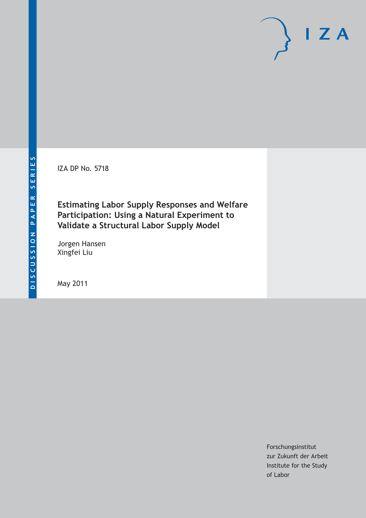IZA DP No. 5718

**Estimating Labor Supply Responses and Welfare Participation: Using a Natural Experiment to Validate a Structural Labor Supply Model**

Jorgen Hansen Xingfei Liu

May 2011

Forschungsinstitut zur Zukunft der Arbeit Institute for the Study of Labor

 $I Z A$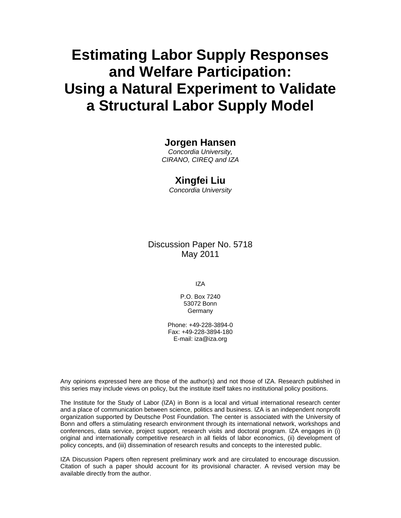# **Estimating Labor Supply Responses and Welfare Participation: Using a Natural Experiment to Validate a Structural Labor Supply Model**

### **Jorgen Hansen**

*Concordia University, CIRANO, CIREQ and IZA* 

#### **Xingfei Liu**

*Concordia University* 

Discussion Paper No. 5718 May 2011

IZA

P.O. Box 7240 53072 Bonn Germany

Phone: +49-228-3894-0 Fax: +49-228-3894-180 E-mail: iza@iza.org

Any opinions expressed here are those of the author(s) and not those of IZA. Research published in this series may include views on policy, but the institute itself takes no institutional policy positions.

The Institute for the Study of Labor (IZA) in Bonn is a local and virtual international research center and a place of communication between science, politics and business. IZA is an independent nonprofit organization supported by Deutsche Post Foundation. The center is associated with the University of Bonn and offers a stimulating research environment through its international network, workshops and conferences, data service, project support, research visits and doctoral program. IZA engages in (i) original and internationally competitive research in all fields of labor economics, (ii) development of policy concepts, and (iii) dissemination of research results and concepts to the interested public.

IZA Discussion Papers often represent preliminary work and are circulated to encourage discussion. Citation of such a paper should account for its provisional character. A revised version may be available directly from the author.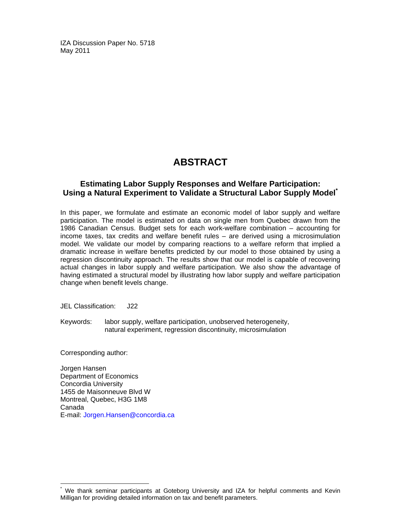IZA Discussion Paper No. 5718 May 2011

# **ABSTRACT**

### **Estimating Labor Supply Responses and Welfare Participation: Using a Natural Experiment to Validate a Structural Labor Supply Model\***

In this paper, we formulate and estimate an economic model of labor supply and welfare participation. The model is estimated on data on single men from Quebec drawn from the 1986 Canadian Census. Budget sets for each work-welfare combination – accounting for income taxes, tax credits and welfare benefit rules – are derived using a microsimulation model. We validate our model by comparing reactions to a welfare reform that implied a dramatic increase in welfare benefits predicted by our model to those obtained by using a regression discontinuity approach. The results show that our model is capable of recovering actual changes in labor supply and welfare participation. We also show the advantage of having estimated a structural model by illustrating how labor supply and welfare participation change when benefit levels change.

JEL Classification: J22

Keywords: labor supply, welfare participation, unobserved heterogeneity, natural experiment, regression discontinuity, microsimulation

Corresponding author:

-

Jorgen Hansen Department of Economics Concordia University 1455 de Maisonneuve Blvd W Montreal, Quebec, H3G 1M8 Canada E-mail: Jorgen.Hansen@concordia.ca

<sup>\*</sup> We thank seminar participants at Goteborg University and IZA for helpful comments and Kevin Milligan for providing detailed information on tax and benefit parameters.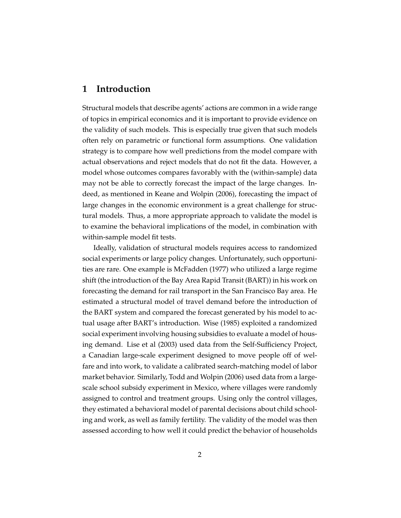### **1 Introduction**

Structural models that describe agents' actions are common in a wide range of topics in empirical economics and it is important to provide evidence on the validity of such models. This is especially true given that such models often rely on parametric or functional form assumptions. One validation strategy is to compare how well predictions from the model compare with actual observations and reject models that do not fit the data. However, a model whose outcomes compares favorably with the (within-sample) data may not be able to correctly forecast the impact of the large changes. Indeed, as mentioned in Keane and Wolpin (2006), forecasting the impact of large changes in the economic environment is a great challenge for structural models. Thus, a more appropriate approach to validate the model is to examine the behavioral implications of the model, in combination with within-sample model fit tests.

Ideally, validation of structural models requires access to randomized social experiments or large policy changes. Unfortunately, such opportunities are rare. One example is McFadden (1977) who utilized a large regime shift (the introduction of the Bay Area Rapid Transit (BART)) in his work on forecasting the demand for rail transport in the San Francisco Bay area. He estimated a structural model of travel demand before the introduction of the BART system and compared the forecast generated by his model to actual usage after BART's introduction. Wise (1985) exploited a randomized social experiment involving housing subsidies to evaluate a model of housing demand. Lise et al (2003) used data from the Self-Sufficiency Project, a Canadian large-scale experiment designed to move people off of welfare and into work, to validate a calibrated search-matching model of labor market behavior. Similarly, Todd and Wolpin (2006) used data from a largescale school subsidy experiment in Mexico, where villages were randomly assigned to control and treatment groups. Using only the control villages, they estimated a behavioral model of parental decisions about child schooling and work, as well as family fertility. The validity of the model was then assessed according to how well it could predict the behavior of households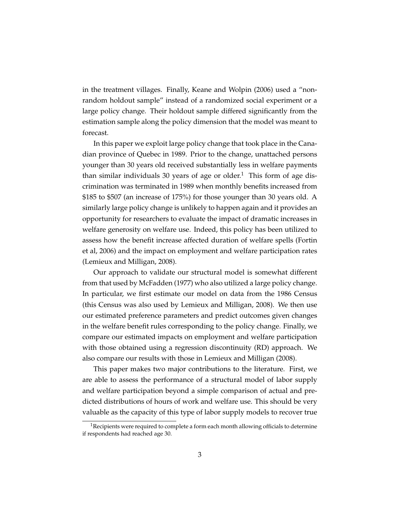in the treatment villages. Finally, Keane and Wolpin (2006) used a "nonrandom holdout sample" instead of a randomized social experiment or a large policy change. Their holdout sample differed significantly from the estimation sample along the policy dimension that the model was meant to forecast.

In this paper we exploit large policy change that took place in the Canadian province of Quebec in 1989. Prior to the change, unattached persons younger than 30 years old received substantially less in welfare payments than similar individuals 30 years of age or older.<sup>1</sup> This form of age discrimination was terminated in 1989 when monthly benefits increased from \$185 to \$507 (an increase of 175%) for those younger than 30 years old. A similarly large policy change is unlikely to happen again and it provides an opportunity for researchers to evaluate the impact of dramatic increases in welfare generosity on welfare use. Indeed, this policy has been utilized to assess how the benefit increase affected duration of welfare spells (Fortin et al, 2006) and the impact on employment and welfare participation rates (Lemieux and Milligan, 2008).

Our approach to validate our structural model is somewhat different from that used by McFadden (1977) who also utilized a large policy change. In particular, we first estimate our model on data from the 1986 Census (this Census was also used by Lemieux and Milligan, 2008). We then use our estimated preference parameters and predict outcomes given changes in the welfare benefit rules corresponding to the policy change. Finally, we compare our estimated impacts on employment and welfare participation with those obtained using a regression discontinuity (RD) approach. We also compare our results with those in Lemieux and Milligan (2008).

This paper makes two major contributions to the literature. First, we are able to assess the performance of a structural model of labor supply and welfare participation beyond a simple comparison of actual and predicted distributions of hours of work and welfare use. This should be very valuable as the capacity of this type of labor supply models to recover true

 $1$ Recipients were required to complete a form each month allowing officials to determine if respondents had reached age 30.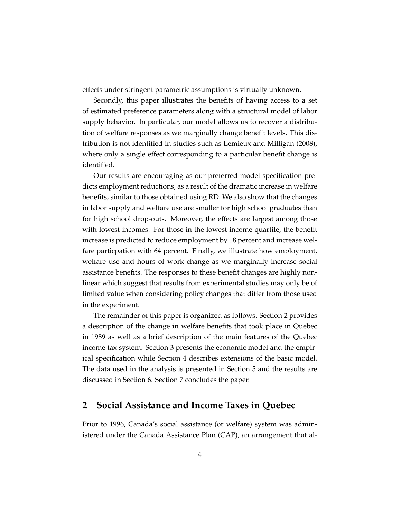effects under stringent parametric assumptions is virtually unknown.

Secondly, this paper illustrates the benefits of having access to a set of estimated preference parameters along with a structural model of labor supply behavior. In particular, our model allows us to recover a distribution of welfare responses as we marginally change benefit levels. This distribution is not identified in studies such as Lemieux and Milligan (2008), where only a single effect corresponding to a particular benefit change is identified.

Our results are encouraging as our preferred model specification predicts employment reductions, as a result of the dramatic increase in welfare benefits, similar to those obtained using RD. We also show that the changes in labor supply and welfare use are smaller for high school graduates than for high school drop-outs. Moreover, the effects are largest among those with lowest incomes. For those in the lowest income quartile, the benefit increase is predicted to reduce employment by 18 percent and increase welfare particpation with 64 percent. Finally, we illustrate how employment, welfare use and hours of work change as we marginally increase social assistance benefits. The responses to these benefit changes are highly nonlinear which suggest that results from experimental studies may only be of limited value when considering policy changes that differ from those used in the experiment.

The remainder of this paper is organized as follows. Section 2 provides a description of the change in welfare benefits that took place in Quebec in 1989 as well as a brief description of the main features of the Quebec income tax system. Section 3 presents the economic model and the empirical specification while Section 4 describes extensions of the basic model. The data used in the analysis is presented in Section 5 and the results are discussed in Section 6. Section 7 concludes the paper.

### **2 Social Assistance and Income Taxes in Quebec**

Prior to 1996, Canada's social assistance (or welfare) system was administered under the Canada Assistance Plan (CAP), an arrangement that al-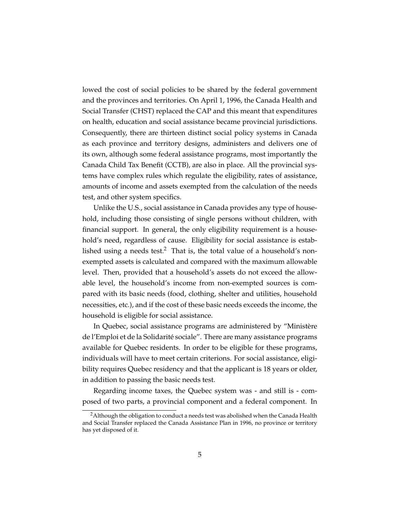lowed the cost of social policies to be shared by the federal government and the provinces and territories. On April 1, 1996, the Canada Health and Social Transfer (CHST) replaced the CAP and this meant that expenditures on health, education and social assistance became provincial jurisdictions. Consequently, there are thirteen distinct social policy systems in Canada as each province and territory designs, administers and delivers one of its own, although some federal assistance programs, most importantly the Canada Child Tax Benefit (CCTB), are also in place. All the provincial systems have complex rules which regulate the eligibility, rates of assistance, amounts of income and assets exempted from the calculation of the needs test, and other system specifics.

Unlike the U.S., social assistance in Canada provides any type of household, including those consisting of single persons without children, with financial support. In general, the only eligibility requirement is a household's need, regardless of cause. Eligibility for social assistance is established using a needs test.<sup>2</sup> That is, the total value of a household's nonexempted assets is calculated and compared with the maximum allowable level. Then, provided that a household's assets do not exceed the allowable level, the household's income from non-exempted sources is compared with its basic needs (food, clothing, shelter and utilities, household necessities, etc.), and if the cost of these basic needs exceeds the income, the household is eligible for social assistance.

In Quebec, social assistance programs are administered by "Ministère de l'Emploi et de la Solidarité sociale". There are many assistance programs available for Quebec residents. In order to be eligible for these programs, individuals will have to meet certain criterions. For social assistance, eligibility requires Quebec residency and that the applicant is 18 years or older, in addition to passing the basic needs test.

Regarding income taxes, the Quebec system was - and still is - composed of two parts, a provincial component and a federal component. In

<sup>&</sup>lt;sup>2</sup>Although the obligation to conduct a needs test was abolished when the Canada Health and Social Transfer replaced the Canada Assistance Plan in 1996, no province or territory has yet disposed of it.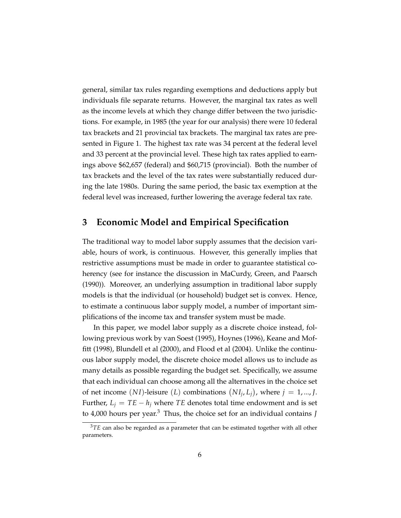general, similar tax rules regarding exemptions and deductions apply but individuals file separate returns. However, the marginal tax rates as well as the income levels at which they change differ between the two jurisdictions. For example, in 1985 (the year for our analysis) there were 10 federal tax brackets and 21 provincial tax brackets. The marginal tax rates are presented in Figure 1. The highest tax rate was 34 percent at the federal level and 33 percent at the provincial level. These high tax rates applied to earnings above \$62,657 (federal) and \$60,715 (provincial). Both the number of tax brackets and the level of the tax rates were substantially reduced during the late 1980s. During the same period, the basic tax exemption at the federal level was increased, further lowering the average federal tax rate.

### **3 Economic Model and Empirical Specification**

The traditional way to model labor supply assumes that the decision variable, hours of work, is continuous. However, this generally implies that restrictive assumptions must be made in order to guarantee statistical coherency (see for instance the discussion in MaCurdy, Green, and Paarsch (1990)). Moreover, an underlying assumption in traditional labor supply models is that the individual (or household) budget set is convex. Hence, to estimate a continuous labor supply model, a number of important simplifications of the income tax and transfer system must be made.

In this paper, we model labor supply as a discrete choice instead, following previous work by van Soest (1995), Hoynes (1996), Keane and Moffitt (1998), Blundell et al (2000), and Flood et al (2004). Unlike the continuous labor supply model, the discrete choice model allows us to include as many details as possible regarding the budget set. Specifically, we assume that each individual can choose among all the alternatives in the choice set of net income  $(NI)$ -leisure  $(L)$  combinations  $(NI_j, L_j)$ , where  $j = 1, ..., J$ . Further,  $L_i = TE - h_i$  where *TE* denotes total time endowment and is set to 4,000 hours per year.<sup>3</sup> Thus, the choice set for an individual contains *J*

<sup>&</sup>lt;sup>3</sup>TE can also be regarded as a parameter that can be estimated together with all other parameters.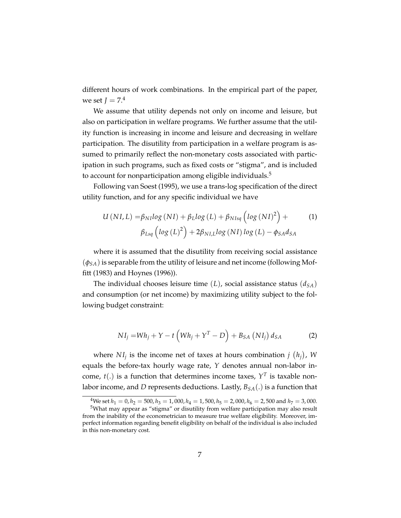different hours of work combinations. In the empirical part of the paper, we set  $J = 7<sup>4</sup>$ 

We assume that utility depends not only on income and leisure, but also on participation in welfare programs. We further assume that the utility function is increasing in income and leisure and decreasing in welfare participation. The disutility from participation in a welfare program is assumed to primarily reflect the non-monetary costs associated with participation in such programs, such as fixed costs or "stigma", and is included to account for nonparticipation among eligible individuals.<sup>5</sup>

Following van Soest (1995), we use a trans-log specification of the direct utility function, and for any specific individual we have

$$
U\left(NI,L\right) = \beta_{NI} log\left(NI\right) + \beta_{L} log\left(L\right) + \beta_{NIsq} \left(log\left(NI\right)^{2}\right) +
$$
  

$$
\beta_{Lsq} \left(log\left(L\right)^{2}\right) + 2\beta_{NIL} log\left(NI\right) log\left(L\right) - \phi_{SA} d_{SA}
$$
 (1)

where it is assumed that the disutility from receiving social assistance (*φSA*) is separable from the utility of leisure and net income (following Moffitt (1983) and Hoynes (1996)).

The individual chooses leisure time  $(L)$ , social assistance status  $(d_{SA})$ and consumption (or net income) by maximizing utility subject to the following budget constraint:

$$
NI_j = Wh_j + Y - t\left( Wh_j + Y^T - D\right) + B_{SA}\left( NI_j \right) d_{SA}
$$
 (2)

where  $NI_j$  is the income net of taxes at hours combination  $j(h_j)$ , W equals the before-tax hourly wage rate, *Y* denotes annual non-labor income,  $t(.)$  is a function that determines income taxes,  $Y<sup>T</sup>$  is taxable nonlabor income, and *D* represents deductions. Lastly, *BSA*(.) is a function that

<sup>&</sup>lt;sup>4</sup>We set  $h_1 = 0$ ,  $h_2 = 500$ ,  $h_3 = 1$ , 000,  $h_4 = 1$ , 500,  $h_5 = 2$ , 000,  $h_6 = 2$ , 500 and  $h_7 = 3$ , 000.

<sup>5</sup>What may appear as "stigma" or disutility from welfare participation may also result from the inability of the econometrician to measure true welfare eligibility. Moreover, imperfect information regarding benefit eligibility on behalf of the individual is also included in this non-monetary cost.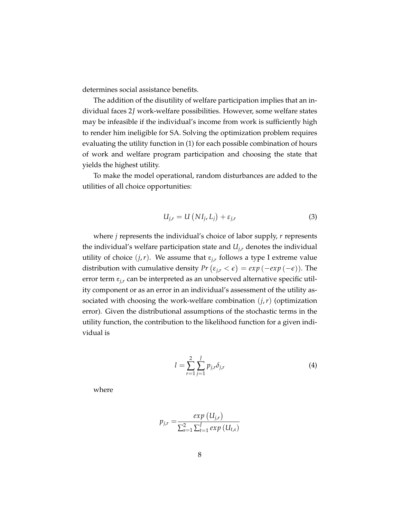determines social assistance benefits.

The addition of the disutility of welfare participation implies that an individual faces 2*J* work-welfare possibilities. However, some welfare states may be infeasible if the individual's income from work is sufficiently high to render him ineligible for SA. Solving the optimization problem requires evaluating the utility function in (1) for each possible combination of hours of work and welfare program participation and choosing the state that yields the highest utility.

To make the model operational, random disturbances are added to the utilities of all choice opportunities:

$$
U_{j,r} = U\left(NI_j, L_j\right) + \varepsilon_{j,r} \tag{3}
$$

where *j* represents the individual's choice of labor supply, *r* represents the individual's welfare participation state and *Uj*,*<sup>r</sup>* denotes the individual utility of choice  $(j, r)$ . We assume that  $\varepsilon_{j,r}$  follows a type I extreme value distribution with cumulative density  $Pr\left(\epsilon_{j,r} < \epsilon\right) = exp\left(-exp\left(-\epsilon\right)\right)$ . The error term  $\varepsilon_{i,r}$  can be interpreted as an unobserved alternative specific utility component or as an error in an individual's assessment of the utility associated with choosing the work-welfare combination  $(j, r)$  (optimization error). Given the distributional assumptions of the stochastic terms in the utility function, the contribution to the likelihood function for a given individual is

$$
l = \sum_{r=1}^{2} \sum_{j=1}^{J} p_{j,r} \delta_{j,r}
$$
 (4)

where

$$
p_{j,r} = \frac{exp (U_{j,r})}{\sum_{s=1}^{2} \sum_{t=1}^{J} exp (U_{t,s})}
$$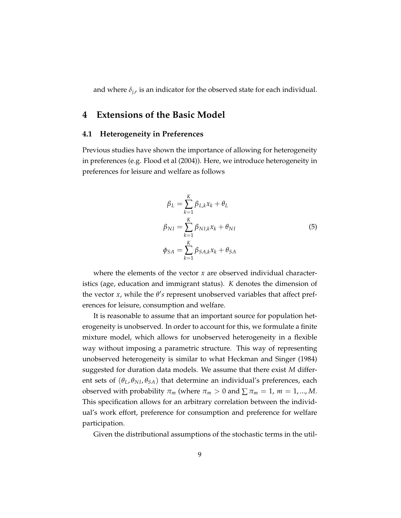and where  $\delta_{j,r}$  is an indicator for the observed state for each individual.

### **4 Extensions of the Basic Model**

#### **4.1 Heterogeneity in Preferences**

Previous studies have shown the importance of allowing for heterogeneity in preferences (e.g. Flood et al (2004)). Here, we introduce heterogeneity in preferences for leisure and welfare as follows

$$
\beta_L = \sum_{k=1}^K \beta_{L,k} x_k + \theta_L
$$
  
\n
$$
\beta_{NI} = \sum_{k=1}^K \beta_{NI,k} x_k + \theta_{NI}
$$
  
\n
$$
\phi_{SA} = \sum_{k=1}^K \beta_{SA,k} x_k + \theta_{SA}
$$
\n(5)

where the elements of the vector *x* are observed individual characteristics (age, education and immigrant status). *K* denotes the dimension of the vector  $x$ , while the  $\theta$ 's represent unobserved variables that affect preferences for leisure, consumption and welfare.

It is reasonable to assume that an important source for population heterogeneity is unobserved. In order to account for this, we formulate a finite mixture model, which allows for unobserved heterogeneity in a flexible way without imposing a parametric structure. This way of representing unobserved heterogeneity is similar to what Heckman and Singer (1984) suggested for duration data models. We assume that there exist *M* different sets of  $(\theta_L, \theta_{NI}, \theta_{SA})$  that determine an individual's preferences, each observed with probability  $\pi_m$  (where  $\pi_m > 0$  and  $\sum \pi_m = 1$ ,  $m = 1, ..., M$ . This specification allows for an arbitrary correlation between the individual's work effort, preference for consumption and preference for welfare participation.

Given the distributional assumptions of the stochastic terms in the util-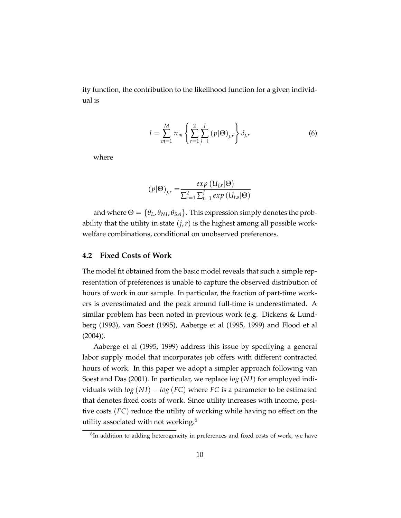ity function, the contribution to the likelihood function for a given individual is

$$
l = \sum_{m=1}^{M} \pi_m \left\{ \sum_{r=1}^{2} \sum_{j=1}^{J} (p | \Theta)_{j,r} \right\} \delta_{j,r}
$$
 (6)

where

$$
(p|\Theta)_{j,r} = \frac{exp(U_{j,r}|\Theta)}{\sum_{s=1}^{2} \sum_{t=1}^{J} exp(U_{t,s}|\Theta)}
$$

and where  $\Theta = {\theta_L, \theta_{NI}, \theta_{SA}}$ . This expression simply denotes the probability that the utility in state  $(j, r)$  is the highest among all possible workwelfare combinations, conditional on unobserved preferences.

#### **4.2 Fixed Costs of Work**

The model fit obtained from the basic model reveals that such a simple representation of preferences is unable to capture the observed distribution of hours of work in our sample. In particular, the fraction of part-time workers is overestimated and the peak around full-time is underestimated. A similar problem has been noted in previous work (e.g. Dickens & Lundberg (1993), van Soest (1995), Aaberge et al (1995, 1999) and Flood et al (2004)).

Aaberge et al (1995, 1999) address this issue by specifying a general labor supply model that incorporates job offers with different contracted hours of work. In this paper we adopt a simpler approach following van Soest and Das (2001). In particular, we replace *log* (*N I*) for employed individuals with  $log(NI) - log(FC)$  where *FC* is a parameter to be estimated that denotes fixed costs of work. Since utility increases with income, positive costs (*FC*) reduce the utility of working while having no effect on the utility associated with not working.<sup>6</sup>

<sup>&</sup>lt;sup>6</sup>In addition to adding heterogeneity in preferences and fixed costs of work, we have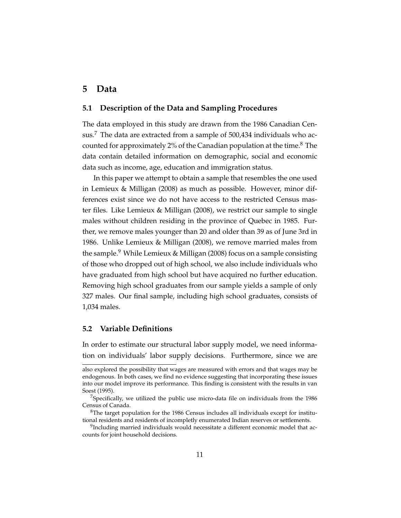### **5 Data**

#### **5.1 Description of the Data and Sampling Procedures**

The data employed in this study are drawn from the 1986 Canadian Census.<sup>7</sup> The data are extracted from a sample of  $500,434$  individuals who accounted for approximately 2% of the Canadian population at the time.<sup>8</sup> The data contain detailed information on demographic, social and economic data such as income, age, education and immigration status.

In this paper we attempt to obtain a sample that resembles the one used in Lemieux & Milligan (2008) as much as possible. However, minor differences exist since we do not have access to the restricted Census master files. Like Lemieux & Milligan (2008), we restrict our sample to single males without children residing in the province of Quebec in 1985. Further, we remove males younger than 20 and older than 39 as of June 3rd in 1986. Unlike Lemieux & Milligan (2008), we remove married males from the sample.<sup>9</sup> While Lemieux & Milligan (2008) focus on a sample consisting of those who dropped out of high school, we also include individuals who have graduated from high school but have acquired no further education. Removing high school graduates from our sample yields a sample of only 327 males. Our final sample, including high school graduates, consists of 1,034 males.

#### **5.2 Variable Definitions**

In order to estimate our structural labor supply model, we need information on individuals' labor supply decisions. Furthermore, since we are

also explored the possibility that wages are measured with errors and that wages may be endogenous. In both cases, we find no evidence suggesting that incorporating these issues into our model improve its performance. This finding is consistent with the results in van Soest (1995).

 $7$ Specifically, we utilized the public use micro-data file on individuals from the 1986 Census of Canada.

 ${}^{8}$ The target population for the 1986 Census includes all individuals except for institutional residents and residents of incompletly enumerated Indian reserves or settlements.

<sup>&</sup>lt;sup>9</sup>Including married individuals would necessitate a different economic model that accounts for joint household decisions.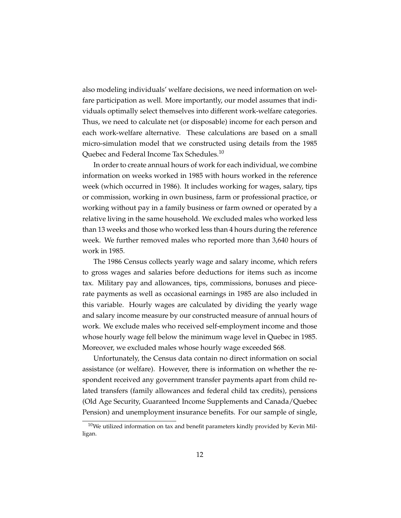also modeling individuals' welfare decisions, we need information on welfare participation as well. More importantly, our model assumes that individuals optimally select themselves into different work-welfare categories. Thus, we need to calculate net (or disposable) income for each person and each work-welfare alternative. These calculations are based on a small micro-simulation model that we constructed using details from the 1985 Quebec and Federal Income Tax Schedules.<sup>10</sup>

In order to create annual hours of work for each individual, we combine information on weeks worked in 1985 with hours worked in the reference week (which occurred in 1986). It includes working for wages, salary, tips or commission, working in own business, farm or professional practice, or working without pay in a family business or farm owned or operated by a relative living in the same household. We excluded males who worked less than 13 weeks and those who worked less than 4 hours during the reference week. We further removed males who reported more than 3,640 hours of work in 1985.

The 1986 Census collects yearly wage and salary income, which refers to gross wages and salaries before deductions for items such as income tax. Military pay and allowances, tips, commissions, bonuses and piecerate payments as well as occasional earnings in 1985 are also included in this variable. Hourly wages are calculated by dividing the yearly wage and salary income measure by our constructed measure of annual hours of work. We exclude males who received self-employment income and those whose hourly wage fell below the minimum wage level in Quebec in 1985. Moreover, we excluded males whose hourly wage exceeded \$68.

Unfortunately, the Census data contain no direct information on social assistance (or welfare). However, there is information on whether the respondent received any government transfer payments apart from child related transfers (family allowances and federal child tax credits), pensions (Old Age Security, Guaranteed Income Supplements and Canada/Quebec Pension) and unemployment insurance benefits. For our sample of single,

 $10$ We utilized information on tax and benefit parameters kindly provided by Kevin Milligan.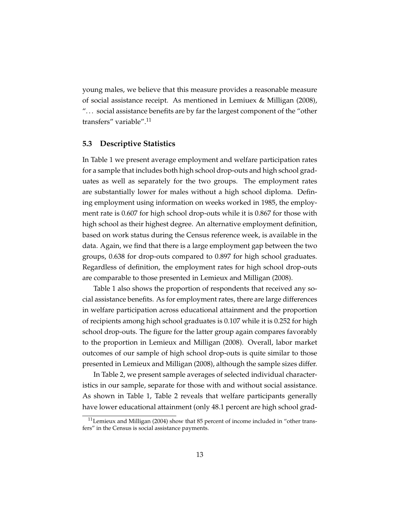young males, we believe that this measure provides a reasonable measure of social assistance receipt. As mentioned in Lemiuex & Milligan (2008), "... social assistance benefits are by far the largest component of the "other transfers" variable".<sup>11</sup>

#### **5.3 Descriptive Statistics**

In Table 1 we present average employment and welfare participation rates for a sample that includes both high school drop-outs and high school graduates as well as separately for the two groups. The employment rates are substantially lower for males without a high school diploma. Defining employment using information on weeks worked in 1985, the employment rate is 0.607 for high school drop-outs while it is 0.867 for those with high school as their highest degree. An alternative employment definition, based on work status during the Census reference week, is available in the data. Again, we find that there is a large employment gap between the two groups, 0.638 for drop-outs compared to 0.897 for high school graduates. Regardless of definition, the employment rates for high school drop-outs are comparable to those presented in Lemieux and Milligan (2008).

Table 1 also shows the proportion of respondents that received any social assistance benefits. As for employment rates, there are large differences in welfare participation across educational attainment and the proportion of recipients among high school graduates is 0.107 while it is 0.252 for high school drop-outs. The figure for the latter group again compares favorably to the proportion in Lemieux and Milligan (2008). Overall, labor market outcomes of our sample of high school drop-outs is quite similar to those presented in Lemieux and Milligan (2008), although the sample sizes differ.

In Table 2, we present sample averages of selected individual characteristics in our sample, separate for those with and without social assistance. As shown in Table 1, Table 2 reveals that welfare participants generally have lower educational attainment (only 48.1 percent are high school grad-

 $11$ Lemieux and Milligan (2004) show that 85 percent of income included in "other transfers" in the Census is social assistance payments.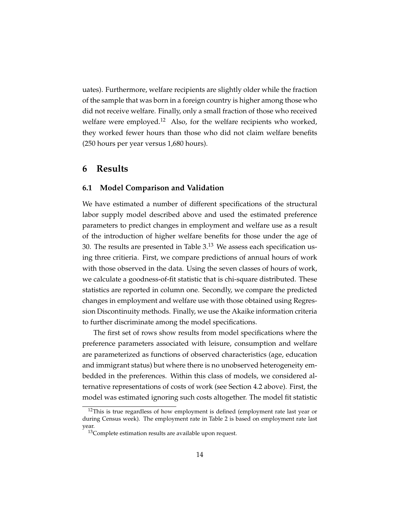uates). Furthermore, welfare recipients are slightly older while the fraction of the sample that was born in a foreign country is higher among those who did not receive welfare. Finally, only a small fraction of those who received welfare were employed.<sup>12</sup> Also, for the welfare recipients who worked, they worked fewer hours than those who did not claim welfare benefits (250 hours per year versus 1,680 hours).

### **6 Results**

#### **6.1 Model Comparison and Validation**

We have estimated a number of different specifications of the structural labor supply model described above and used the estimated preference parameters to predict changes in employment and welfare use as a result of the introduction of higher welfare benefits for those under the age of 30. The results are presented in Table 3.<sup>13</sup> We assess each specification using three critieria. First, we compare predictions of annual hours of work with those observed in the data. Using the seven classes of hours of work, we calculate a goodness-of-fit statistic that is chi-square distributed. These statistics are reported in column one. Secondly, we compare the predicted changes in employment and welfare use with those obtained using Regression Discontinuity methods. Finally, we use the Akaike information criteria to further discriminate among the model specifications.

The first set of rows show results from model specifications where the preference parameters associated with leisure, consumption and welfare are parameterized as functions of observed characteristics (age, education and immigrant status) but where there is no unobserved heterogeneity embedded in the preferences. Within this class of models, we considered alternative representations of costs of work (see Section 4.2 above). First, the model was estimated ignoring such costs altogether. The model fit statistic

<sup>&</sup>lt;sup>12</sup>This is true regardless of how employment is defined (employment rate last year or during Census week). The employment rate in Table 2 is based on employment rate last year.

<sup>&</sup>lt;sup>13</sup>Complete estimation results are available upon request.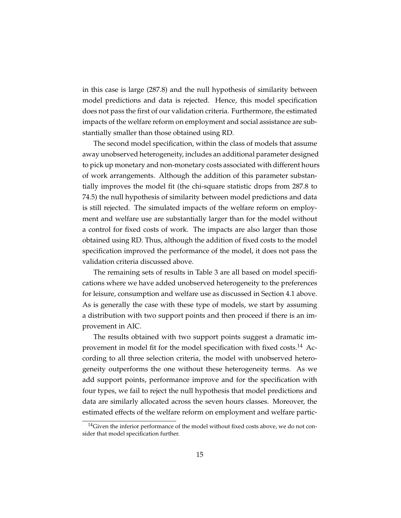in this case is large (287.8) and the null hypothesis of similarity between model predictions and data is rejected. Hence, this model specification does not pass the first of our validation criteria. Furthermore, the estimated impacts of the welfare reform on employment and social assistance are substantially smaller than those obtained using RD.

The second model specification, within the class of models that assume away unobserved heterogeneity, includes an additional parameter designed to pick up monetary and non-monetary costs associated with different hours of work arrangements. Although the addition of this parameter substantially improves the model fit (the chi-square statistic drops from 287.8 to 74.5) the null hypothesis of similarity between model predictions and data is still rejected. The simulated impacts of the welfare reform on employment and welfare use are substantially larger than for the model without a control for fixed costs of work. The impacts are also larger than those obtained using RD. Thus, although the addition of fixed costs to the model specification improved the performance of the model, it does not pass the validation criteria discussed above.

The remaining sets of results in Table 3 are all based on model specifications where we have added unobserved heterogeneity to the preferences for leisure, consumption and welfare use as discussed in Section 4.1 above. As is generally the case with these type of models, we start by assuming a distribution with two support points and then proceed if there is an improvement in AIC.

The results obtained with two support points suggest a dramatic improvement in model fit for the model specification with fixed costs.<sup>14</sup> According to all three selection criteria, the model with unobserved heterogeneity outperforms the one without these heterogeneity terms. As we add support points, performance improve and for the specification with four types, we fail to reject the null hypothesis that model predictions and data are similarly allocated across the seven hours classes. Moreover, the estimated effects of the welfare reform on employment and welfare partic-

<sup>&</sup>lt;sup>14</sup>Given the inferior performance of the model without fixed costs above, we do not consider that model specification further.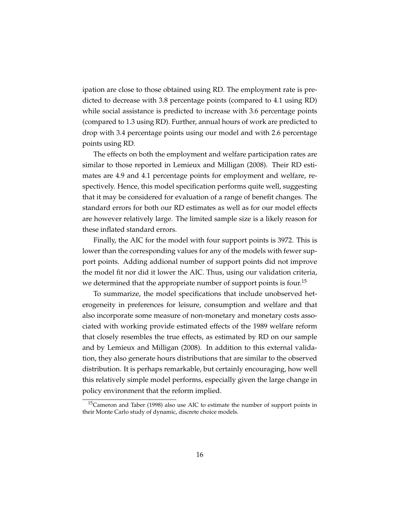ipation are close to those obtained using RD. The employment rate is predicted to decrease with 3.8 percentage points (compared to 4.1 using RD) while social assistance is predicted to increase with 3.6 percentage points (compared to 1.3 using RD). Further, annual hours of work are predicted to drop with 3.4 percentage points using our model and with 2.6 percentage points using RD.

The effects on both the employment and welfare participation rates are similar to those reported in Lemieux and Milligan (2008). Their RD estimates are 4.9 and 4.1 percentage points for employment and welfare, respectively. Hence, this model specification performs quite well, suggesting that it may be considered for evaluation of a range of benefit changes. The standard errors for both our RD estimates as well as for our model effects are however relatively large. The limited sample size is a likely reason for these inflated standard errors.

Finally, the AIC for the model with four support points is 3972. This is lower than the corresponding values for any of the models with fewer support points. Adding addional number of support points did not improve the model fit nor did it lower the AIC. Thus, using our validation criteria, we determined that the appropriate number of support points is four.<sup>15</sup>

To summarize, the model specifications that include unobserved heterogeneity in preferences for leisure, consumption and welfare and that also incorporate some measure of non-monetary and monetary costs associated with working provide estimated effects of the 1989 welfare reform that closely resembles the true effects, as estimated by RD on our sample and by Lemieux and Milligan (2008). In addition to this external validation, they also generate hours distributions that are similar to the observed distribution. It is perhaps remarkable, but certainly encouraging, how well this relatively simple model performs, especially given the large change in policy environment that the reform implied.

<sup>15</sup>Cameron and Taber (1998) also use AIC to estimate the number of support points in their Monte Carlo study of dynamic, discrete choice models.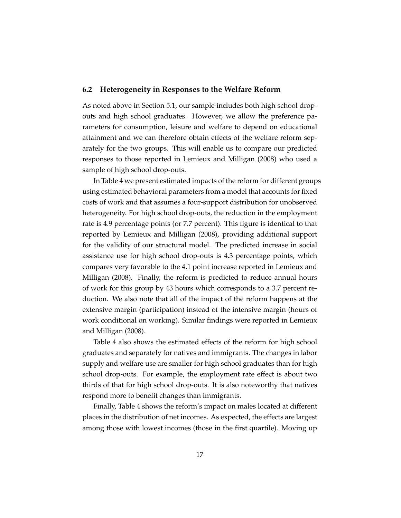#### **6.2 Heterogeneity in Responses to the Welfare Reform**

As noted above in Section 5.1, our sample includes both high school dropouts and high school graduates. However, we allow the preference parameters for consumption, leisure and welfare to depend on educational attainment and we can therefore obtain effects of the welfare reform separately for the two groups. This will enable us to compare our predicted responses to those reported in Lemieux and Milligan (2008) who used a sample of high school drop-outs.

In Table 4 we present estimated impacts of the reform for different groups using estimated behavioral parameters from a model that accounts for fixed costs of work and that assumes a four-support distribution for unobserved heterogeneity. For high school drop-outs, the reduction in the employment rate is 4.9 percentage points (or 7.7 percent). This figure is identical to that reported by Lemieux and Milligan (2008), providing additional support for the validity of our structural model. The predicted increase in social assistance use for high school drop-outs is 4.3 percentage points, which compares very favorable to the 4.1 point increase reported in Lemieux and Milligan (2008). Finally, the reform is predicted to reduce annual hours of work for this group by 43 hours which corresponds to a 3.7 percent reduction. We also note that all of the impact of the reform happens at the extensive margin (participation) instead of the intensive margin (hours of work conditional on working). Similar findings were reported in Lemieux and Milligan (2008).

Table 4 also shows the estimated effects of the reform for high school graduates and separately for natives and immigrants. The changes in labor supply and welfare use are smaller for high school graduates than for high school drop-outs. For example, the employment rate effect is about two thirds of that for high school drop-outs. It is also noteworthy that natives respond more to benefit changes than immigrants.

Finally, Table 4 shows the reform's impact on males located at different places in the distribution of net incomes. As expected, the effects are largest among those with lowest incomes (those in the first quartile). Moving up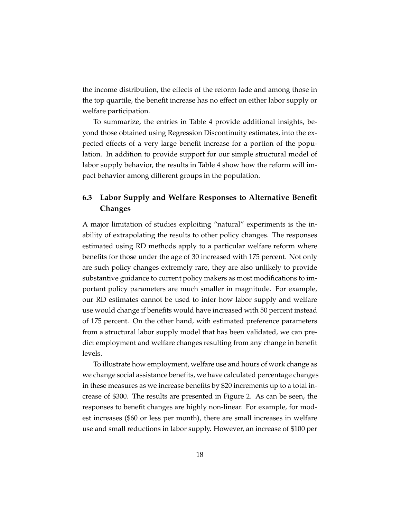the income distribution, the effects of the reform fade and among those in the top quartile, the benefit increase has no effect on either labor supply or welfare participation.

To summarize, the entries in Table 4 provide additional insights, beyond those obtained using Regression Discontinuity estimates, into the expected effects of a very large benefit increase for a portion of the population. In addition to provide support for our simple structural model of labor supply behavior, the results in Table 4 show how the reform will impact behavior among different groups in the population.

### **6.3 Labor Supply and Welfare Responses to Alternative Benefit Changes**

A major limitation of studies exploiting "natural" experiments is the inability of extrapolating the results to other policy changes. The responses estimated using RD methods apply to a particular welfare reform where benefits for those under the age of 30 increased with 175 percent. Not only are such policy changes extremely rare, they are also unlikely to provide substantive guidance to current policy makers as most modifications to important policy parameters are much smaller in magnitude. For example, our RD estimates cannot be used to infer how labor supply and welfare use would change if benefits would have increased with 50 percent instead of 175 percent. On the other hand, with estimated preference parameters from a structural labor supply model that has been validated, we can predict employment and welfare changes resulting from any change in benefit levels.

To illustrate how employment, welfare use and hours of work change as we change social assistance benefits, we have calculated percentage changes in these measures as we increase benefits by \$20 increments up to a total increase of \$300. The results are presented in Figure 2. As can be seen, the responses to benefit changes are highly non-linear. For example, for modest increases (\$60 or less per month), there are small increases in welfare use and small reductions in labor supply. However, an increase of \$100 per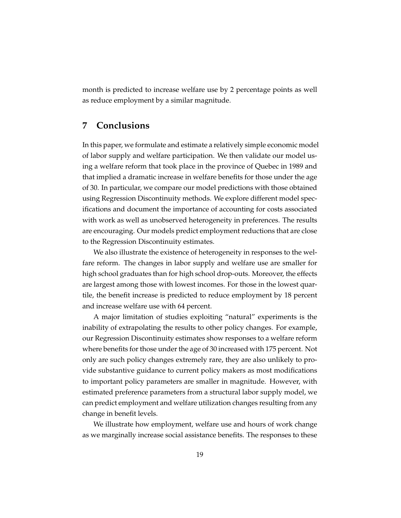month is predicted to increase welfare use by 2 percentage points as well as reduce employment by a similar magnitude.

### **7 Conclusions**

In this paper, we formulate and estimate a relatively simple economic model of labor supply and welfare participation. We then validate our model using a welfare reform that took place in the province of Quebec in 1989 and that implied a dramatic increase in welfare benefits for those under the age of 30. In particular, we compare our model predictions with those obtained using Regression Discontinuity methods. We explore different model specifications and document the importance of accounting for costs associated with work as well as unobserved heterogeneity in preferences. The results are encouraging. Our models predict employment reductions that are close to the Regression Discontinuity estimates.

We also illustrate the existence of heterogeneity in responses to the welfare reform. The changes in labor supply and welfare use are smaller for high school graduates than for high school drop-outs. Moreover, the effects are largest among those with lowest incomes. For those in the lowest quartile, the benefit increase is predicted to reduce employment by 18 percent and increase welfare use with 64 percent.

A major limitation of studies exploiting "natural" experiments is the inability of extrapolating the results to other policy changes. For example, our Regression Discontinuity estimates show responses to a welfare reform where benefits for those under the age of 30 increased with 175 percent. Not only are such policy changes extremely rare, they are also unlikely to provide substantive guidance to current policy makers as most modifications to important policy parameters are smaller in magnitude. However, with estimated preference parameters from a structural labor supply model, we can predict employment and welfare utilization changes resulting from any change in benefit levels.

We illustrate how employment, welfare use and hours of work change as we marginally increase social assistance benefits. The responses to these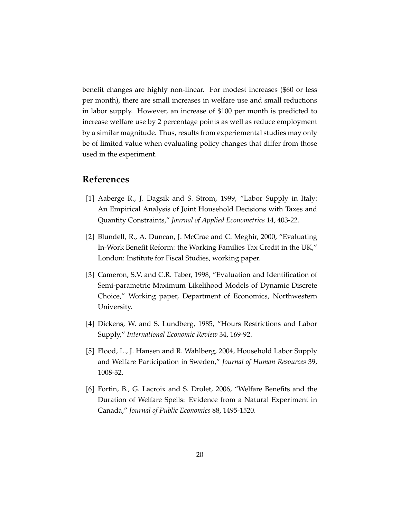benefit changes are highly non-linear. For modest increases (\$60 or less per month), there are small increases in welfare use and small reductions in labor supply. However, an increase of \$100 per month is predicted to increase welfare use by 2 percentage points as well as reduce employment by a similar magnitude. Thus, results from experiemental studies may only be of limited value when evaluating policy changes that differ from those used in the experiment.

### **References**

- [1] Aaberge R., J. Dagsik and S. Strom, 1999, "Labor Supply in Italy: An Empirical Analysis of Joint Household Decisions with Taxes and Quantity Constraints," *Journal of Applied Econometrics* 14, 403-22.
- [2] Blundell, R., A. Duncan, J. McCrae and C. Meghir, 2000, "Evaluating In-Work Benefit Reform: the Working Families Tax Credit in the UK," London: Institute for Fiscal Studies, working paper.
- [3] Cameron, S.V. and C.R. Taber, 1998, "Evaluation and Identification of Semi-parametric Maximum Likelihood Models of Dynamic Discrete Choice," Working paper, Department of Economics, Northwestern University.
- [4] Dickens, W. and S. Lundberg, 1985, "Hours Restrictions and Labor Supply," *International Economic Review* 34, 169-92.
- [5] Flood, L., J. Hansen and R. Wahlberg, 2004, Household Labor Supply and Welfare Participation in Sweden," *Journal of Human Resources* 39, 1008-32.
- [6] Fortin, B., G. Lacroix and S. Drolet, 2006, "Welfare Benefits and the Duration of Welfare Spells: Evidence from a Natural Experiment in Canada," *Journal of Public Economics* 88, 1495-1520.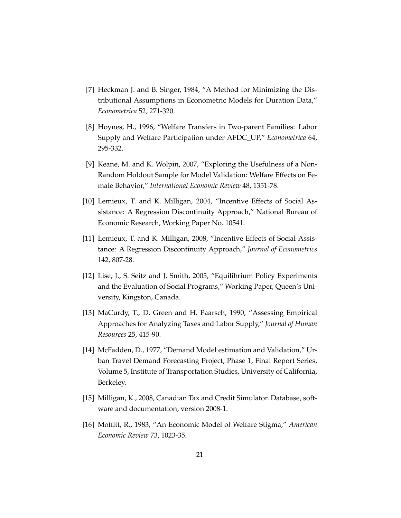- [7] Heckman J. and B. Singer, 1984, "A Method for Minimizing the Distributional Assumptions in Econometric Models for Duration Data," *Econometrica* 52, 271-320.
- [8] Hoynes, H., 1996, "Welfare Transfers in Two-parent Families: Labor Supply and Welfare Participation under AFDC\_UP," *Econometrica* 64, 295-332.
- [9] Keane, M. and K. Wolpin, 2007, "Exploring the Usefulness of a Non-Random Holdout Sample for Model Validation: Welfare Effects on Female Behavior," *International Economic Review* 48, 1351-78.
- [10] Lemieux, T. and K. Milligan, 2004, "Incentive Effects of Social Assistance: A Regression Discontinuity Approach," National Bureau of Economic Research, Working Paper No. 10541.
- [11] Lemieux, T. and K. Milligan, 2008, "Incentive Effects of Social Assistance: A Regression Discontinuity Approach," *Journal of Econometrics* 142, 807-28.
- [12] Lise, J., S. Seitz and J. Smith, 2005, "Equilibrium Policy Experiments and the Evaluation of Social Programs," Working Paper, Queen's University, Kingston, Canada.
- [13] MaCurdy, T., D. Green and H. Paarsch, 1990, "Assessing Empirical Approaches for Analyzing Taxes and Labor Supply," *Journal of Human Resources* 25, 415-90.
- [14] McFadden, D., 1977, "Demand Model estimation and Validation," Urban Travel Demand Forecasting Project, Phase 1, Final Report Series, Volume 5, Institute of Transportation Studies, University of California, Berkeley.
- [15] Milligan, K., 2008, Canadian Tax and Credit Simulator. Database, software and documentation, version 2008-1.
- [16] Moffitt, R., 1983, "An Economic Model of Welfare Stigma," *American Economic Review* 73, 1023-35.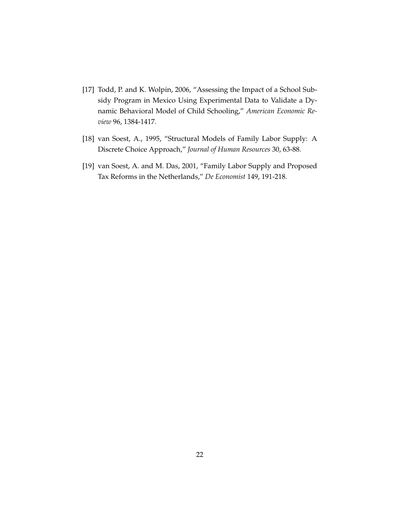- [17] Todd, P. and K. Wolpin, 2006, "Assessing the Impact of a School Subsidy Program in Mexico Using Experimental Data to Validate a Dynamic Behavioral Model of Child Schooling," *American Economic Review* 96, 1384-1417.
- [18] van Soest, A., 1995, "Structural Models of Family Labor Supply: A Discrete Choice Approach," *Journal of Human Resources* 30, 63-88.
- [19] van Soest, A. and M. Das, 2001, "Family Labor Supply and Proposed Tax Reforms in the Netherlands," *De Economist* 149, 191-218.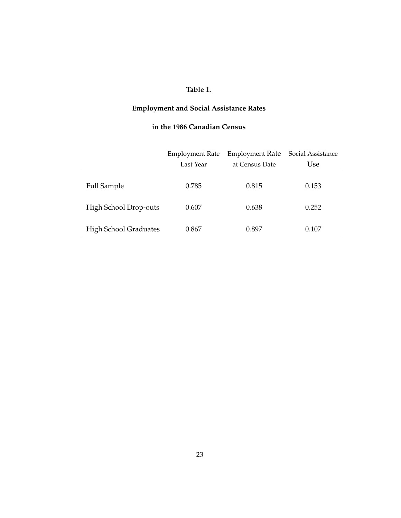### **Table 1.**

# **Employment and Social Assistance Rates**

### **in the 1986 Canadian Census**

|                              | <b>Employment Rate</b> | <b>Employment Rate</b> | Social Assistance |
|------------------------------|------------------------|------------------------|-------------------|
|                              | Last Year              | at Census Date         | Use               |
| <b>Full Sample</b>           | 0.785                  | 0.815                  | 0.153             |
| High School Drop-outs        | 0.607                  | 0.638                  | 0.252             |
| <b>High School Graduates</b> | 0.867                  | 0.897                  | 0.107             |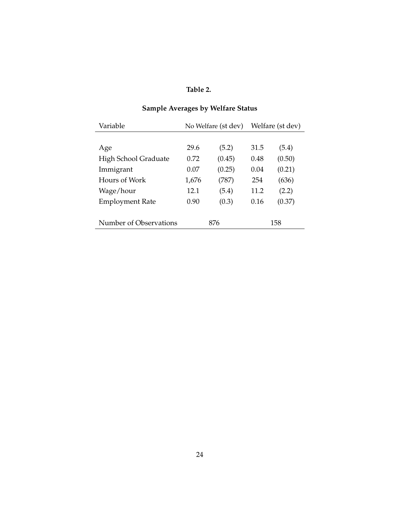## **Table 2.**

# **Sample Averages by Welfare Status**

| Variable               | No Welfare (st dev) |        | Welfare (st dev) |        |
|------------------------|---------------------|--------|------------------|--------|
|                        |                     |        |                  |        |
| Age                    | 29.6                | (5.2)  | 31.5             | (5.4)  |
| High School Graduate   | 0.72                | (0.45) | 0.48             | (0.50) |
| Immigrant              | 0.07                | (0.25) | 0.04             | (0.21) |
| Hours of Work          | 1,676               | (787)  | 254              | (636)  |
| Wage/hour              | 12.1                | (5.4)  | 11.2             | (2.2)  |
| <b>Employment Rate</b> | 0.90                | (0.3)  | 0.16             | (0.37) |
| Number of Observations | 876                 |        | 158              |        |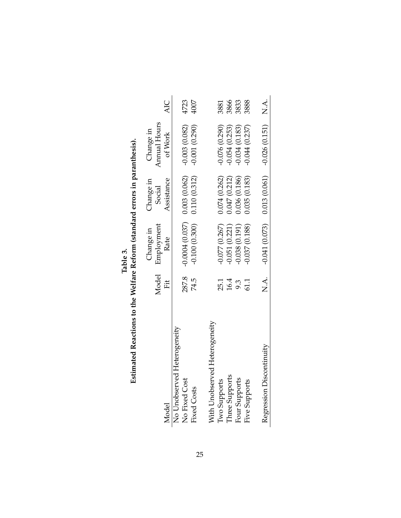|                               |               | Change in                      | Change in     | Change in                                                |      |
|-------------------------------|---------------|--------------------------------|---------------|----------------------------------------------------------|------|
|                               | Model         | Employment                     | Social        | Annual Hours                                             |      |
| Model                         | Ët            | Rate                           | Assistance    | of Work                                                  | AIC  |
| No Unobserved Heterogeneity   |               |                                |               |                                                          |      |
| No Fixed Cost                 | 287.8         | $-0.0004(0.037)$ 0.003 (0.062) |               | $-0.003(0.082)$                                          | 4723 |
| <b>Fixed Costs</b>            | 74.5          | $-0.100(0.300)$                | 0.110(0.312)  | $-0.001(0.290)$                                          | 4007 |
|                               |               |                                |               |                                                          |      |
| With Unobserved Heterogeneity |               |                                |               |                                                          |      |
| Two Supports                  | 25.1          | $-0.077(0.267)$                | 0.074(0.262)  | 0.076(0.290)                                             | 3881 |
| Three Supports                | $16.4$<br>9.3 | $-0.051(0.221)$                | 0.047(0.212)  | 0.054(0.253)                                             | 3866 |
| Four Supports                 |               | $-0.038(0.191)$                | 1.036 (0.186) | 0.034(0.183)                                             | 3833 |
| Five Supports                 | 61.1          | $-0.037(0.188)$                | 0.035 (0.183) | 0.044(0.237)                                             | 3888 |
|                               |               |                                |               |                                                          |      |
| Regression Discontinuity      |               |                                |               | N.A. $-0.041(0.073)$ $0.013(0.061)$ $-0.026(0.151)$ N.A. |      |
|                               |               |                                |               |                                                          |      |

| Table 3. | Estimated Reactions to the Welfare Reform (standard errors in paranthesis) |
|----------|----------------------------------------------------------------------------|
|----------|----------------------------------------------------------------------------|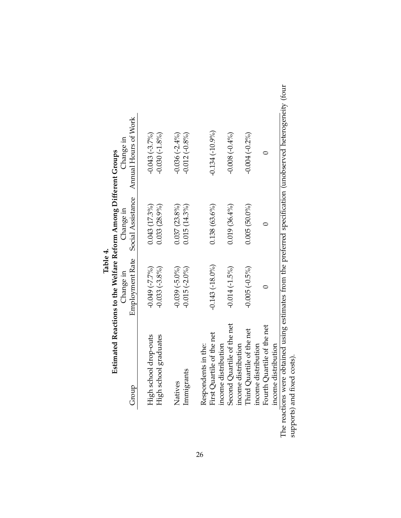|                                                                                               | Estimated Reactions to the Welfare Reform Among Different Groups<br>Table 4. |                                |                                   |
|-----------------------------------------------------------------------------------------------|------------------------------------------------------------------------------|--------------------------------|-----------------------------------|
| Group                                                                                         | Employment Rate<br>Change in                                                 | Social Assistance<br>Change in | Annual Hours of Work<br>Change in |
| High school drop-outs                                                                         | $-0.049$ $(-7.7\%)$                                                          | $0.043(17.3\%)$                | $-0.043(-3.7\%)$                  |
| High school graduates                                                                         | $-0.033(-3.8\%)$                                                             | $0.033(28.9\%)$                | $-0.030(-1.8%)$                   |
| Natives                                                                                       | $-0.039(-5.0\%)$                                                             | $0.037(23.8\%)$                | $-0.036(-2.4\%)$                  |
| Immigrants                                                                                    | $-0.015(-2.0\%)$                                                             | $0.015(14.3\%)$                | $-0.012(-0.8\%)$                  |
| Respondents in the:                                                                           |                                                                              |                                |                                   |
| First Quartile of the net                                                                     | $-0.143(-18.0\%)$                                                            | $0.138(63.6\%)$                | $-0.134(-10.9\%)$                 |
| income distribution                                                                           |                                                                              |                                |                                   |
| Second Quartile of the net                                                                    | $-0.014(-1.5%)$                                                              | $0.019(36.4\%)$                | $-0.008(-0.4\%)$                  |
| income distribution                                                                           |                                                                              |                                |                                   |
| Third Quartile of the net                                                                     | $-0.005(-0.5\%)$                                                             | $0.005(50.0\%)$                | $-0.004(-0.2\%)$                  |
| income distribution                                                                           |                                                                              |                                |                                   |
| Fourth Quartile of the net                                                                    |                                                                              | $\subset$                      |                                   |
| income distribution                                                                           |                                                                              |                                |                                   |
| tione ware obtained using estimates from the preferred specification (unobserved beterogeneit |                                                                              |                                |                                   |

| obtained using estimates from the pretered specification (unobserved heterogeneity (tour<br>י באת האת המשוב בסיפור המונח היה ביני היה המשוב המונח המונח המונח המונח המונח המונח המונח המונח המונח המונח המ |                                                                                                            |
|------------------------------------------------------------------------------------------------------------------------------------------------------------------------------------------------------------|------------------------------------------------------------------------------------------------------------|
|                                                                                                                                                                                                            |                                                                                                            |
|                                                                                                                                                                                                            | ;<br>?                                                                                                     |
| אס אספרומר זווסיי<br>בני בשבים ב                                                                                                                                                                           | and hand the land<br>֧֧֖֧֧֧֧֧֧֧֧֧֧֧֧֧֧֦֧֧֧֛֛֧֧֧֧֧֧֧֚֚֚֚֚֚֚֚֚֚֚֚֚֚֚֚֚֚֚֚֚֚֚֚֚֝֝֝֟֓֝֟֓֝֬֝֓֝֓֝֬֝֬֜֜֜֜֝֬֜<br>j |

26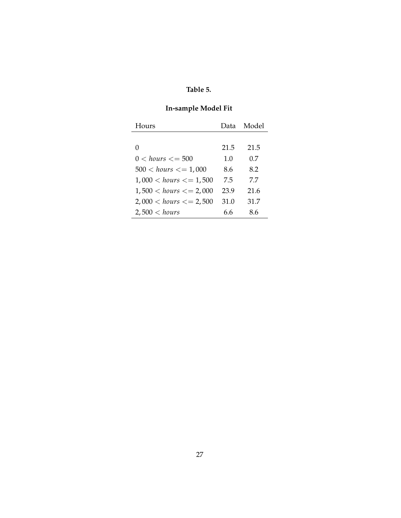### **Table 5.**

### **In-sample Model Fit**

| Hours                     | Data | Model |
|---------------------------|------|-------|
|                           |      |       |
| 0                         | 21.5 | 21.5  |
| $0 < hours < = 500$       | 1.0  | 0.7   |
| $500 < hours < = 1,000$   | 8.6  | 8.2   |
| $1,000 < hours < = 1,500$ | 7.5  | 7.7   |
| $1,500 < hours < = 2,000$ | 23.9 | 21.6  |
| $2,000 < hours < = 2,500$ | 31.0 | 31.7  |
| 2,500 < hours             | 6.6  | 8.6   |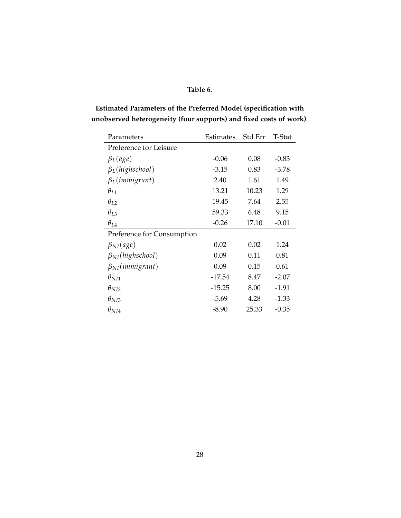### **Table 6.**

### **Estimated Parameters of the Preferred Model (specification with unobserved heterogeneity (four supports) and fixed costs of work)**

| Parameters                 | Estimates | Std Err | T-Stat  |
|----------------------------|-----------|---------|---------|
| Preference for Leisure     |           |         |         |
| $\beta_L (age)$            | $-0.06$   | 0.08    | $-0.83$ |
| $\beta_L$ (highschool)     | $-3.15$   | 0.83    | $-3.78$ |
| $\beta_L$ (immigrant)      | 2.40      | 1.61    | 1.49    |
| $\theta_{L1}$              | 13.21     | 10.23   | 1.29    |
| $\theta_{L2}$              | 19.45     | 7.64    | 2.55    |
| $\theta_{L3}$              | 59.33     | 6.48    | 9.15    |
| $\theta_{IA}$              | $-0.26$   | 17.10   | $-0.01$ |
| Preference for Consumption |           |         |         |
| $\beta_{NI}(age)$          | 0.02      | 0.02    | 1.24    |
| $\beta_{NI}(high school)$  | 0.09      | 0.11    | 0.81    |
| $\beta_{NI}(immigrant)$    | 0.09      | 0.15    | 0.61    |
| $\theta_{N I1}$            | $-17.54$  | 8.47    | $-2.07$ |
| $\theta_{NI2}$             | $-15.25$  | 8.00    | $-1.91$ |
| $\theta_{NI3}$             | $-5.69$   | 4.28    | $-1.33$ |
| $\theta_{NI4}$             | $-8.90$   | 25.33   | $-0.35$ |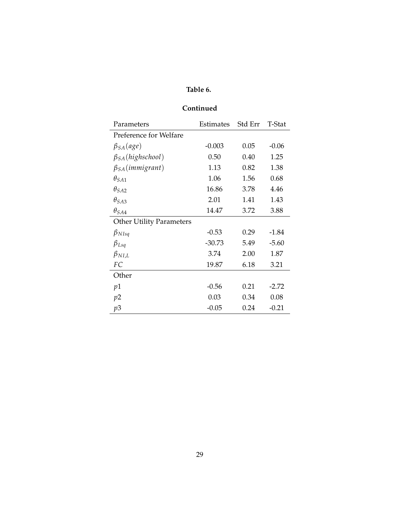### **Table 6.**

### **Continued**

| Parameters                      | Estimates | Std Err | T-Stat  |
|---------------------------------|-----------|---------|---------|
| Preference for Welfare          |           |         |         |
| $\beta_{SA}(age)$               | $-0.003$  | 0.05    | $-0.06$ |
| $\beta_{SA}(high school)$       | 0.50      | 0.40    | 1.25    |
| $\beta_{SA}(immigrant)$         | 1.13      | 0.82    | 1.38    |
| $\theta_{SA1}$                  | 1.06      | 1.56    | 0.68    |
| $\theta_{S A2}$                 | 16.86     | 3.78    | 4.46    |
| $\theta_{S A3}$                 | 2.01      | 1.41    | 1.43    |
| $\theta_{SA4}$                  | 14.47     | 3.72    | 3.88    |
| <b>Other Utility Parameters</b> |           |         |         |
| $\beta_{NIsq}$                  | $-0.53$   | 0.29    | $-1.84$ |
| $\beta_{Lsq}$                   | $-30.73$  | 5.49    | $-5.60$ |
| $\beta_{NIL}$                   | 3.74      | 2.00    | 1.87    |
| FC                              | 19.87     | 6.18    | 3.21    |
| Other                           |           |         |         |
| p1                              | $-0.56$   | 0.21    | $-2.72$ |
| p2                              | 0.03      | 0.34    | 0.08    |
| p3                              | $-0.05$   | 0.24    | $-0.21$ |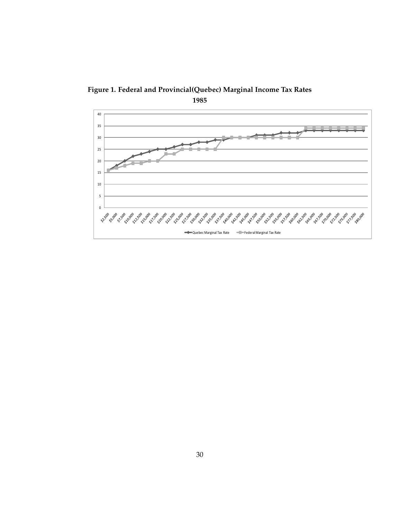

**Figure 1. Federal and Provincial(Quebec) Marginal Income Tax Rates**